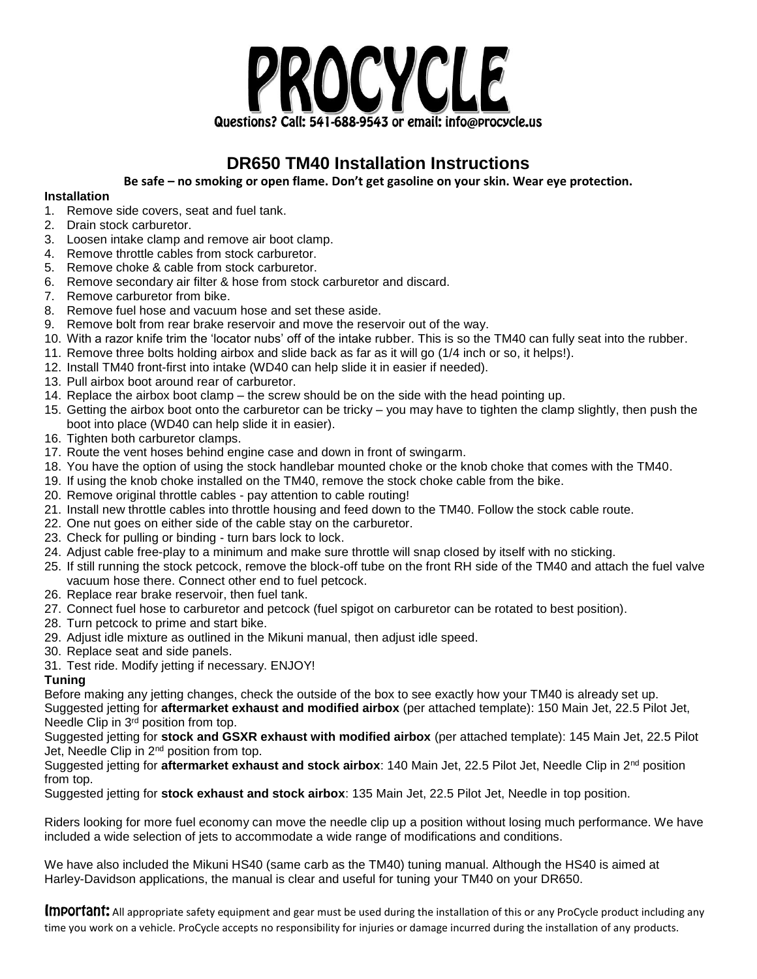

## **DR650 TM40 Installation Instructions**

**Be safe – no smoking or open flame. Don't get gasoline on your skin. Wear eye protection.**

## **Installation**

- 1. Remove side covers, seat and fuel tank.
- 2. Drain stock carburetor.
- 3. Loosen intake clamp and remove air boot clamp.
- 4. Remove throttle cables from stock carburetor.
- 5. Remove choke & cable from stock carburetor.
- 6. Remove secondary air filter & hose from stock carburetor and discard.
- 7. Remove carburetor from bike.
- 8. Remove fuel hose and vacuum hose and set these aside.
- 9. Remove bolt from rear brake reservoir and move the reservoir out of the way.
- 10. With a razor knife trim the 'locator nubs' off of the intake rubber. This is so the TM40 can fully seat into the rubber.
- 11. Remove three bolts holding airbox and slide back as far as it will go (1/4 inch or so, it helps!).
- 12. Install TM40 front-first into intake (WD40 can help slide it in easier if needed).
- 13. Pull airbox boot around rear of carburetor.
- 14. Replace the airbox boot clamp the screw should be on the side with the head pointing up.
- 15. Getting the airbox boot onto the carburetor can be tricky you may have to tighten the clamp slightly, then push the boot into place (WD40 can help slide it in easier).
- 16. Tighten both carburetor clamps.
- 17. Route the vent hoses behind engine case and down in front of swingarm.
- 18. You have the option of using the stock handlebar mounted choke or the knob choke that comes with the TM40.
- 19. If using the knob choke installed on the TM40, remove the stock choke cable from the bike.
- 20. Remove original throttle cables pay attention to cable routing!
- 21. Install new throttle cables into throttle housing and feed down to the TM40. Follow the stock cable route.
- 22. One nut goes on either side of the cable stay on the carburetor.
- 23. Check for pulling or binding turn bars lock to lock.
- 24. Adjust cable free-play to a minimum and make sure throttle will snap closed by itself with no sticking.
- 25. If still running the stock petcock, remove the block-off tube on the front RH side of the TM40 and attach the fuel valve vacuum hose there. Connect other end to fuel petcock.
- 26. Replace rear brake reservoir, then fuel tank.
- 27. Connect fuel hose to carburetor and petcock (fuel spigot on carburetor can be rotated to best position).
- 28. Turn petcock to prime and start bike.
- 29. Adjust idle mixture as outlined in the Mikuni manual, then adjust idle speed.
- 30. Replace seat and side panels.
- 31. Test ride. Modify jetting if necessary. ENJOY!

## **Tuning**

Before making any jetting changes, check the outside of the box to see exactly how your TM40 is already set up.

Suggested jetting for **aftermarket exhaust and modified airbox** (per attached template): 150 Main Jet, 22.5 Pilot Jet, Needle Clip in 3<sup>rd</sup> position from top.

Suggested jetting for **stock and GSXR exhaust with modified airbox** (per attached template): 145 Main Jet, 22.5 Pilot Jet. Needle Clip in 2<sup>nd</sup> position from top.

Suggested jetting for **aftermarket exhaust and stock airbox**: 140 Main Jet, 22.5 Pilot Jet, Needle Clip in 2<sup>nd</sup> position from top.

Suggested jetting for **stock exhaust and stock airbox**: 135 Main Jet, 22.5 Pilot Jet, Needle in top position.

Riders looking for more fuel economy can move the needle clip up a position without losing much performance. We have included a wide selection of jets to accommodate a wide range of modifications and conditions.

We have also included the Mikuni HS40 (same carb as the TM40) tuning manual. Although the HS40 is aimed at Harley-Davidson applications, the manual is clear and useful for tuning your TM40 on your DR650.

Important: All appropriate safety equipment and gear must be used during the installation of this or any ProCycle product including any time you work on a vehicle. ProCycle accepts no responsibility for injuries or damage incurred during the installation of any products.